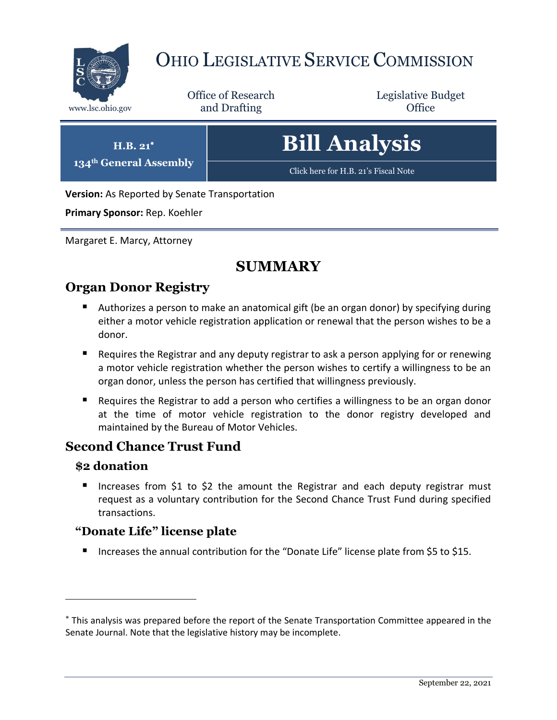

# OHIO LEGISLATIVE SERVICE COMMISSION

Office of Research www.lsc.ohio.gov **and Drafting Office** 

Legislative Budget



[Click here for H.B. 21](https://www.legislature.ohio.gov/legislation/legislation-documents?id=GA134-HB-21)'s Fiscal Note

**Version:** As Reported by Senate Transportation

**Primary Sponsor:** Rep. Koehler

**H.B. 21 134th General Assembly**

Margaret E. Marcy, Attorney

## **SUMMARY**

## **Organ Donor Registry**

- Authorizes a person to make an anatomical gift (be an organ donor) by specifying during either a motor vehicle registration application or renewal that the person wishes to be a donor.
- Requires the Registrar and any deputy registrar to ask a person applying for or renewing a motor vehicle registration whether the person wishes to certify a willingness to be an organ donor, unless the person has certified that willingness previously.
- Requires the Registrar to add a person who certifies a willingness to be an organ donor at the time of motor vehicle registration to the donor registry developed and maintained by the Bureau of Motor Vehicles.

## **Second Chance Trust Fund**

#### **\$2 donation**

 $\overline{a}$ 

Increases from \$1 to \$2 the amount the Registrar and each deputy registrar must request as a voluntary contribution for the Second Chance Trust Fund during specified transactions.

#### **"Donate Life" license plate**

■ Increases the annual contribution for the "Donate Life" license plate from \$5 to \$15.

This analysis was prepared before the report of the Senate Transportation Committee appeared in the Senate Journal. Note that the legislative history may be incomplete.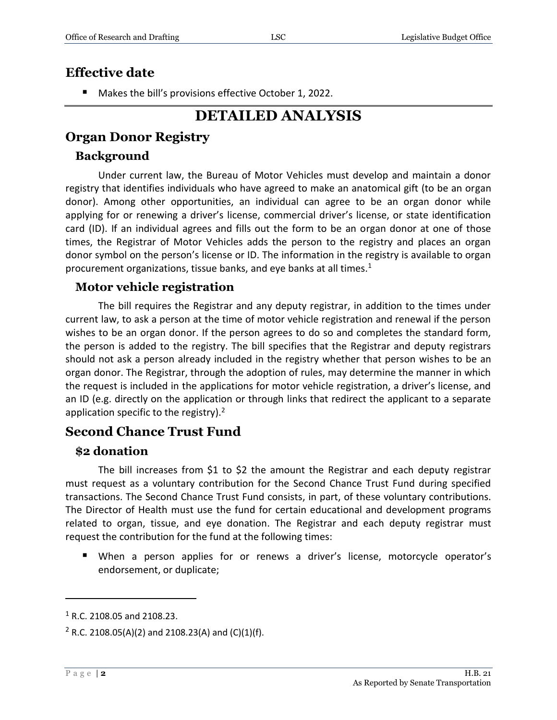## **Effective date**

Makes the bill's provisions effective October 1, 2022.

# **DETAILED ANALYSIS**

## **Organ Donor Registry**

#### **Background**

Under current law, the Bureau of Motor Vehicles must develop and maintain a donor registry that identifies individuals who have agreed to make an anatomical gift (to be an organ donor). Among other opportunities, an individual can agree to be an organ donor while applying for or renewing a driver's license, commercial driver's license, or state identification card (ID). If an individual agrees and fills out the form to be an organ donor at one of those times, the Registrar of Motor Vehicles adds the person to the registry and places an organ donor symbol on the person's license or ID. The information in the registry is available to organ procurement organizations, tissue banks, and eye banks at all times. $1$ 

#### **Motor vehicle registration**

The bill requires the Registrar and any deputy registrar, in addition to the times under current law, to ask a person at the time of motor vehicle registration and renewal if the person wishes to be an organ donor. If the person agrees to do so and completes the standard form, the person is added to the registry. The bill specifies that the Registrar and deputy registrars should not ask a person already included in the registry whether that person wishes to be an organ donor. The Registrar, through the adoption of rules, may determine the manner in which the request is included in the applications for motor vehicle registration, a driver's license, and an ID (e.g. directly on the application or through links that redirect the applicant to a separate application specific to the registry).<sup>2</sup>

## **Second Chance Trust Fund**

#### **\$2 donation**

The bill increases from \$1 to \$2 the amount the Registrar and each deputy registrar must request as a voluntary contribution for the Second Chance Trust Fund during specified transactions. The Second Chance Trust Fund consists, in part, of these voluntary contributions. The Director of Health must use the fund for certain educational and development programs related to organ, tissue, and eye donation. The Registrar and each deputy registrar must request the contribution for the fund at the following times:

 When a person applies for or renews a driver's license, motorcycle operator's endorsement, or duplicate;

 $\overline{a}$ 

<sup>1</sup> R.C. 2108.05 and 2108.23.

<sup>&</sup>lt;sup>2</sup> R.C. 2108.05(A)(2) and 2108.23(A) and (C)(1)(f).